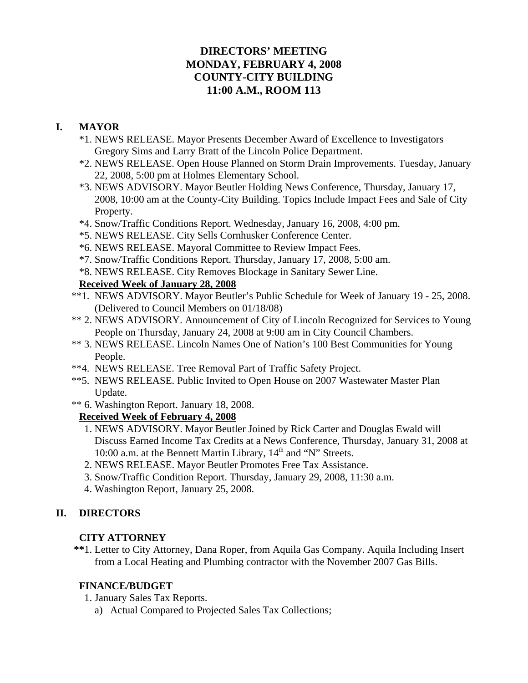# **DIRECTORS' MEETING MONDAY, FEBRUARY 4, 2008 COUNTY-CITY BUILDING 11:00 A.M., ROOM 113**

# **I. MAYOR**

- \*1. NEWS RELEASE. Mayor Presents December Award of Excellence to Investigators Gregory Sims and Larry Bratt of the Lincoln Police Department.
- \*2. NEWS RELEASE. Open House Planned on Storm Drain Improvements. Tuesday, January 22, 2008, 5:00 pm at Holmes Elementary School.
- \*3. NEWS ADVISORY. Mayor Beutler Holding News Conference, Thursday, January 17, 2008, 10:00 am at the County-City Building. Topics Include Impact Fees and Sale of City Property.
- \*4. Snow/Traffic Conditions Report. Wednesday, January 16, 2008, 4:00 pm.
- \*5. NEWS RELEASE. City Sells Cornhusker Conference Center.
- \*6. NEWS RELEASE. Mayoral Committee to Review Impact Fees.
- \*7. Snow/Traffic Conditions Report. Thursday, January 17, 2008, 5:00 am.
- \*8. NEWS RELEASE. City Removes Blockage in Sanitary Sewer Line.

# **Received Week of January 28, 2008**

- \*\*1. NEWS ADVISORY. Mayor Beutler's Public Schedule for Week of January 19 25, 2008. (Delivered to Council Members on 01/18/08)
- \*\* 2. NEWS ADVISORY. Announcement of City of Lincoln Recognized for Services to Young People on Thursday, January 24, 2008 at 9:00 am in City Council Chambers.
- \*\* 3. NEWS RELEASE. Lincoln Names One of Nation's 100 Best Communities for Young People.
- \*\*4. NEWS RELEASE. Tree Removal Part of Traffic Safety Project.
- \*\*5. NEWS RELEASE. Public Invited to Open House on 2007 Wastewater Master Plan Update.
- \*\* 6. Washington Report. January 18, 2008.

# **Received Week of February 4, 2008**

- 1. NEWS ADVISORY. Mayor Beutler Joined by Rick Carter and Douglas Ewald will Discuss Earned Income Tax Credits at a News Conference, Thursday, January 31, 2008 at 10:00 a.m. at the Bennett Martin Library,  $14<sup>th</sup>$  and "N" Streets.
- 2. NEWS RELEASE. Mayor Beutler Promotes Free Tax Assistance.
- 3. Snow/Traffic Condition Report. Thursday, January 29, 2008, 11:30 a.m.
- 4. Washington Report, January 25, 2008.

# **II. DIRECTORS**

# **CITY ATTORNEY**

 **\*\***1. Letter to City Attorney, Dana Roper, from Aquila Gas Company. Aquila Including Insert from a Local Heating and Plumbing contractor with the November 2007 Gas Bills.

### **FINANCE/BUDGET**

- 1. January Sales Tax Reports.
	- a) Actual Compared to Projected Sales Tax Collections;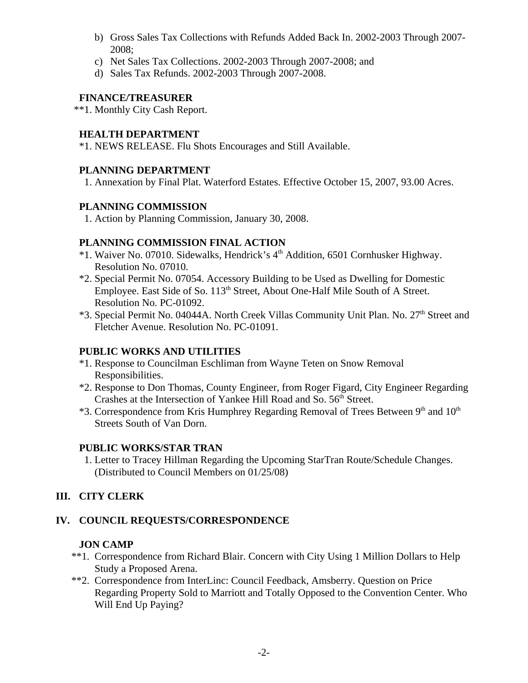- b) Gross Sales Tax Collections with Refunds Added Back In. 2002-2003 Through 2007- 2008;
- c) Net Sales Tax Collections. 2002-2003 Through 2007-2008; and
- d) Sales Tax Refunds. 2002-2003 Through 2007-2008.

# **FINANCE/TREASURER**

\*\*1. Monthly City Cash Report.

### **HEALTH DEPARTMENT**

\*1. NEWS RELEASE. Flu Shots Encourages and Still Available.

### **PLANNING DEPARTMENT**

1. Annexation by Final Plat. Waterford Estates. Effective October 15, 2007, 93.00 Acres.

### **PLANNING COMMISSION**

1. Action by Planning Commission, January 30, 2008.

# **PLANNING COMMISSION FINAL ACTION**

- \*1. Waiver No. 07010. Sidewalks, Hendrick's 4th Addition, 6501 Cornhusker Highway. Resolution No. 07010.
- \*2. Special Permit No. 07054. Accessory Building to be Used as Dwelling for Domestic Employee. East Side of So. 113<sup>th</sup> Street, About One-Half Mile South of A Street. Resolution No. PC-01092.
- \*3. Special Permit No. 04044A. North Creek Villas Community Unit Plan. No. 27<sup>th</sup> Street and Fletcher Avenue. Resolution No. PC-01091.

# **PUBLIC WORKS AND UTILITIES**

- \*1. Response to Councilman Eschliman from Wayne Teten on Snow Removal Responsibilities.
- \*2. Response to Don Thomas, County Engineer, from Roger Figard, City Engineer Regarding Crashes at the Intersection of Yankee Hill Road and So. 56<sup>th</sup> Street.
- $*3$ . Correspondence from Kris Humphrey Regarding Removal of Trees Between  $9<sup>th</sup>$  and  $10<sup>th</sup>$ Streets South of Van Dorn.

# **PUBLIC WORKS/STAR TRAN**

1. Letter to Tracey Hillman Regarding the Upcoming StarTran Route/Schedule Changes. (Distributed to Council Members on 01/25/08)

# **III. CITY CLERK**

# **IV. COUNCIL REQUESTS/CORRESPONDENCE**

### **JON CAMP**

- \*\*1. Correspondence from Richard Blair. Concern with City Using 1 Million Dollars to Help Study a Proposed Arena.
- \*\*2. Correspondence from InterLinc: Council Feedback, Amsberry. Question on Price Regarding Property Sold to Marriott and Totally Opposed to the Convention Center. Who Will End Up Paying?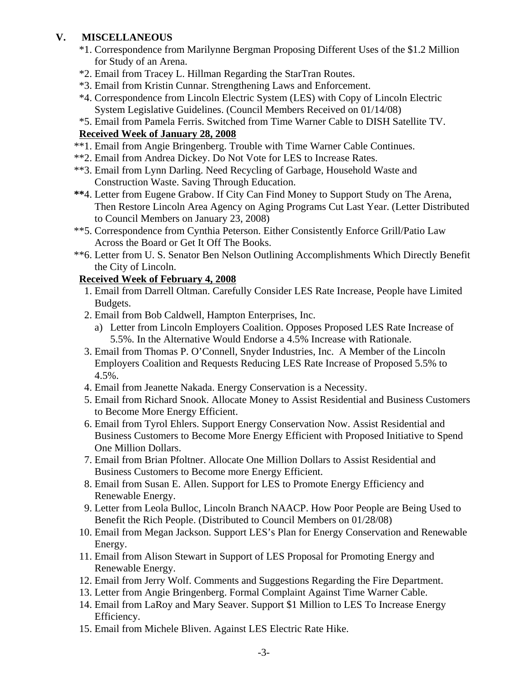# **V. MISCELLANEOUS**

- \*1. Correspondence from Marilynne Bergman Proposing Different Uses of the \$1.2 Million for Study of an Arena.
- \*2. Email from Tracey L. Hillman Regarding the StarTran Routes.
- \*3. Email from Kristin Cunnar. Strengthening Laws and Enforcement.
- \*4. Correspondence from Lincoln Electric System (LES) with Copy of Lincoln Electric System Legislative Guidelines. (Council Members Received on 01/14/08)
- \*5. Email from Pamela Ferris. Switched from Time Warner Cable to DISH Satellite TV.

# **Received Week of January 28, 2008**

- \*\*1. Email from Angie Bringenberg. Trouble with Time Warner Cable Continues.
- \*\*2. Email from Andrea Dickey. Do Not Vote for LES to Increase Rates.
- \*\*3. Email from Lynn Darling. Need Recycling of Garbage, Household Waste and Construction Waste. Saving Through Education.
- **\*\***4. Letter from Eugene Grabow. If City Can Find Money to Support Study on The Arena, Then Restore Lincoln Area Agency on Aging Programs Cut Last Year. (Letter Distributed to Council Members on January 23, 2008)
- \*\*5. Correspondence from Cynthia Peterson. Either Consistently Enforce Grill/Patio Law Across the Board or Get It Off The Books.
- \*\*6. Letter from U. S. Senator Ben Nelson Outlining Accomplishments Which Directly Benefit the City of Lincoln.

# **Received Week of February 4, 2008**

- 1. Email from Darrell Oltman. Carefully Consider LES Rate Increase, People have Limited Budgets.
- 2. Email from Bob Caldwell, Hampton Enterprises, Inc.
	- a) Letter from Lincoln Employers Coalition. Opposes Proposed LES Rate Increase of 5.5%. In the Alternative Would Endorse a 4.5% Increase with Rationale.
- 3. Email from Thomas P. O'Connell, Snyder Industries, Inc. A Member of the Lincoln Employers Coalition and Requests Reducing LES Rate Increase of Proposed 5.5% to 4.5%.
- 4. Email from Jeanette Nakada. Energy Conservation is a Necessity.
- 5. Email from Richard Snook. Allocate Money to Assist Residential and Business Customers to Become More Energy Efficient.
- 6. Email from Tyrol Ehlers. Support Energy Conservation Now. Assist Residential and Business Customers to Become More Energy Efficient with Proposed Initiative to Spend One Million Dollars.
- 7. Email from Brian Pfoltner. Allocate One Million Dollars to Assist Residential and Business Customers to Become more Energy Efficient.
- 8. Email from Susan E. Allen. Support for LES to Promote Energy Efficiency and Renewable Energy.
- 9. Letter from Leola Bulloc, Lincoln Branch NAACP. How Poor People are Being Used to Benefit the Rich People. (Distributed to Council Members on 01/28/08)
- 10. Email from Megan Jackson. Support LES's Plan for Energy Conservation and Renewable Energy.
- 11. Email from Alison Stewart in Support of LES Proposal for Promoting Energy and Renewable Energy.
- 12. Email from Jerry Wolf. Comments and Suggestions Regarding the Fire Department.
- 13. Letter from Angie Bringenberg. Formal Complaint Against Time Warner Cable.
- 14. Email from LaRoy and Mary Seaver. Support \$1 Million to LES To Increase Energy Efficiency.
- 15. Email from Michele Bliven. Against LES Electric Rate Hike.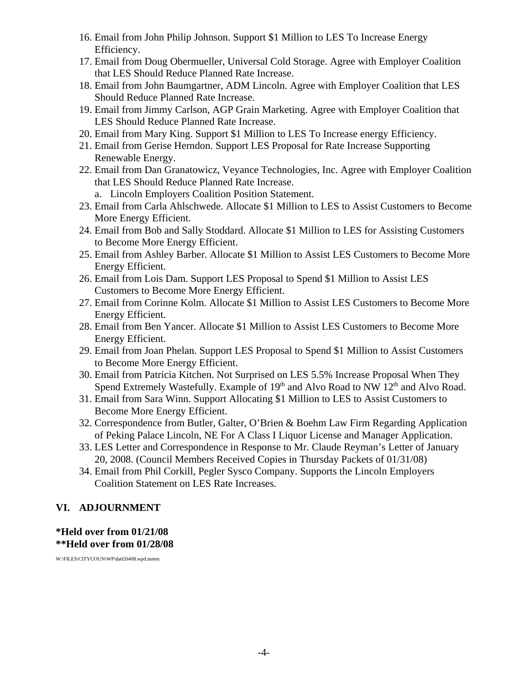- 16. Email from John Philip Johnson. Support \$1 Million to LES To Increase Energy Efficiency.
- 17. Email from Doug Obermueller, Universal Cold Storage. Agree with Employer Coalition that LES Should Reduce Planned Rate Increase.
- 18. Email from John Baumgartner, ADM Lincoln. Agree with Employer Coalition that LES Should Reduce Planned Rate Increase.
- 19. Email from Jimmy Carlson, AGP Grain Marketing. Agree with Employer Coalition that LES Should Reduce Planned Rate Increase.
- 20. Email from Mary King. Support \$1 Million to LES To Increase energy Efficiency.
- 21. Email from Gerise Herndon. Support LES Proposal for Rate Increase Supporting Renewable Energy.
- 22. Email from Dan Granatowicz, Veyance Technologies, Inc. Agree with Employer Coalition that LES Should Reduce Planned Rate Increase.
	- a. Lincoln Employers Coalition Position Statement.
- 23. Email from Carla Ahlschwede. Allocate \$1 Million to LES to Assist Customers to Become More Energy Efficient.
- 24. Email from Bob and Sally Stoddard. Allocate \$1 Million to LES for Assisting Customers to Become More Energy Efficient.
- 25. Email from Ashley Barber. Allocate \$1 Million to Assist LES Customers to Become More Energy Efficient.
- 26. Email from Lois Dam. Support LES Proposal to Spend \$1 Million to Assist LES Customers to Become More Energy Efficient.
- 27. Email from Corinne Kolm. Allocate \$1 Million to Assist LES Customers to Become More Energy Efficient.
- 28. Email from Ben Yancer. Allocate \$1 Million to Assist LES Customers to Become More Energy Efficient.
- 29. Email from Joan Phelan. Support LES Proposal to Spend \$1 Million to Assist Customers to Become More Energy Efficient.
- 30. Email from Patricia Kitchen. Not Surprised on LES 5.5% Increase Proposal When They Spend Extremely Wastefully. Example of  $19<sup>th</sup>$  and Alvo Road to NW  $12<sup>th</sup>$  and Alvo Road.
- 31. Email from Sara Winn. Support Allocating \$1 Million to LES to Assist Customers to Become More Energy Efficient.
- 32. Correspondence from Butler, Galter, O'Brien & Boehm Law Firm Regarding Application of Peking Palace Lincoln, NE For A Class I Liquor License and Manager Application.
- 33. LES Letter and Correspondence in Response to Mr. Claude Reyman's Letter of January 20, 2008. (Council Members Received Copies in Thursday Packets of 01/31/08)
- 34. Email from Phil Corkill, Pegler Sysco Company. Supports the Lincoln Employers Coalition Statement on LES Rate Increases.

# **VI. ADJOURNMENT**

### **\*Held over from 01/21/08 \*\*Held over from 01/28/08**

W:\FILES\CITYCOUN\WP\da020408.wpd.mmm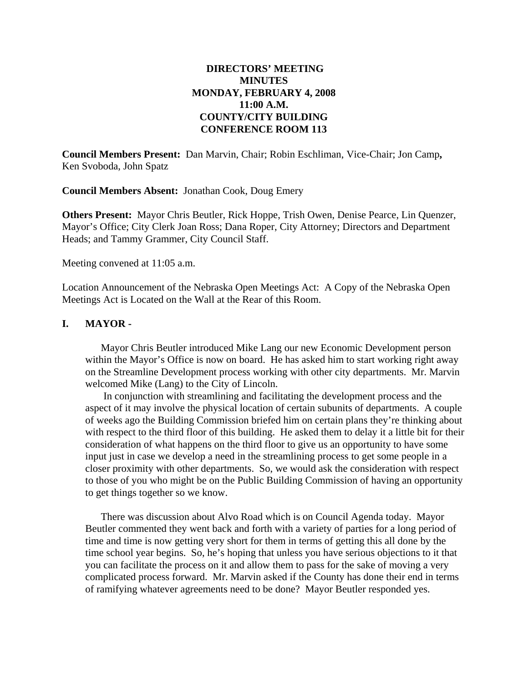### **DIRECTORS' MEETING MINUTES MONDAY, FEBRUARY 4, 2008 11:00 A.M. COUNTY/CITY BUILDING CONFERENCE ROOM 113**

**Council Members Present:** Dan Marvin, Chair; Robin Eschliman, Vice-Chair; Jon Camp**,**  Ken Svoboda, John Spatz

**Council Members Absent:** Jonathan Cook, Doug Emery

**Others Present:** Mayor Chris Beutler, Rick Hoppe, Trish Owen, Denise Pearce, Lin Quenzer, Mayor's Office; City Clerk Joan Ross; Dana Roper, City Attorney; Directors and Department Heads; and Tammy Grammer, City Council Staff.

Meeting convened at 11:05 a.m.

Location Announcement of the Nebraska Open Meetings Act: A Copy of the Nebraska Open Meetings Act is Located on the Wall at the Rear of this Room.

#### **I. MAYOR -**

Mayor Chris Beutler introduced Mike Lang our new Economic Development person within the Mayor's Office is now on board. He has asked him to start working right away on the Streamline Development process working with other city departments. Mr. Marvin welcomed Mike (Lang) to the City of Lincoln.

 In conjunction with streamlining and facilitating the development process and the aspect of it may involve the physical location of certain subunits of departments. A couple of weeks ago the Building Commission briefed him on certain plans they're thinking about with respect to the third floor of this building. He asked them to delay it a little bit for their consideration of what happens on the third floor to give us an opportunity to have some input just in case we develop a need in the streamlining process to get some people in a closer proximity with other departments. So, we would ask the consideration with respect to those of you who might be on the Public Building Commission of having an opportunity to get things together so we know.

There was discussion about Alvo Road which is on Council Agenda today. Mayor Beutler commented they went back and forth with a variety of parties for a long period of time and time is now getting very short for them in terms of getting this all done by the time school year begins. So, he's hoping that unless you have serious objections to it that you can facilitate the process on it and allow them to pass for the sake of moving a very complicated process forward. Mr. Marvin asked if the County has done their end in terms of ramifying whatever agreements need to be done? Mayor Beutler responded yes.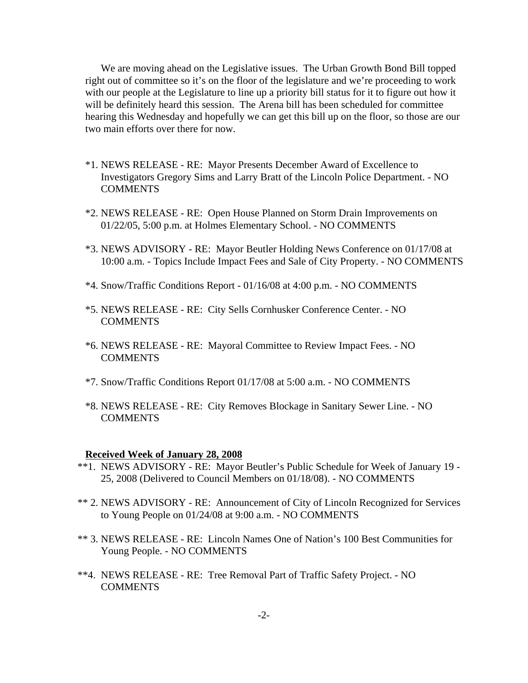We are moving ahead on the Legislative issues. The Urban Growth Bond Bill topped right out of committee so it's on the floor of the legislature and we're proceeding to work with our people at the Legislature to line up a priority bill status for it to figure out how it will be definitely heard this session. The Arena bill has been scheduled for committee hearing this Wednesday and hopefully we can get this bill up on the floor, so those are our two main efforts over there for now.

- \*1. NEWS RELEASE RE: Mayor Presents December Award of Excellence to Investigators Gregory Sims and Larry Bratt of the Lincoln Police Department. - NO COMMENTS
- \*2. NEWS RELEASE RE: Open House Planned on Storm Drain Improvements on 01/22/05, 5:00 p.m. at Holmes Elementary School. - NO COMMENTS
- \*3. NEWS ADVISORY RE: Mayor Beutler Holding News Conference on 01/17/08 at 10:00 a.m. - Topics Include Impact Fees and Sale of City Property. - NO COMMENTS
- \*4. Snow/Traffic Conditions Report 01/16/08 at 4:00 p.m. NO COMMENTS
- \*5. NEWS RELEASE RE: City Sells Cornhusker Conference Center. NO COMMENTS
- \*6. NEWS RELEASE RE: Mayoral Committee to Review Impact Fees. NO **COMMENTS**
- \*7. Snow/Traffic Conditions Report 01/17/08 at 5:00 a.m. NO COMMENTS
- \*8. NEWS RELEASE RE: City Removes Blockage in Sanitary Sewer Line. NO **COMMENTS**

#### **Received Week of January 28, 2008**

- \*\*1. NEWS ADVISORY RE: Mayor Beutler's Public Schedule for Week of January 19 25, 2008 (Delivered to Council Members on 01/18/08). - NO COMMENTS
- \*\* 2. NEWS ADVISORY RE: Announcement of City of Lincoln Recognized for Services to Young People on 01/24/08 at 9:00 a.m. - NO COMMENTS
- \*\* 3. NEWS RELEASE RE: Lincoln Names One of Nation's 100 Best Communities for Young People. - NO COMMENTS
- \*\*4. NEWS RELEASE RE: Tree Removal Part of Traffic Safety Project. NO **COMMENTS**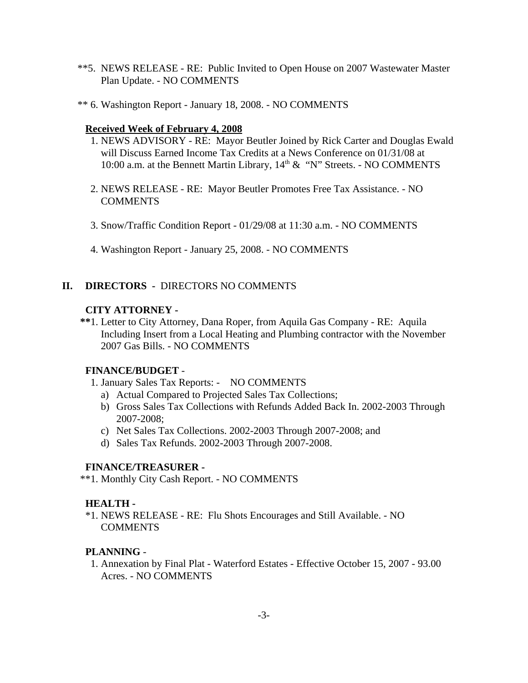- \*\*5. NEWS RELEASE RE: Public Invited to Open House on 2007 Wastewater Master Plan Update. - NO COMMENTS
- \*\* 6. Washington Report January 18, 2008. NO COMMENTS

#### **Received Week of February 4, 2008**

- 1. NEWS ADVISORY RE: Mayor Beutler Joined by Rick Carter and Douglas Ewald will Discuss Earned Income Tax Credits at a News Conference on 01/31/08 at 10:00 a.m. at the Bennett Martin Library,  $14<sup>th</sup> \& 'N'$  Streets. - NO COMMENTS
- 2. NEWS RELEASE RE: Mayor Beutler Promotes Free Tax Assistance. NO **COMMENTS**
- 3. Snow/Traffic Condition Report 01/29/08 at 11:30 a.m. NO COMMENTS
- 4. Washington Report January 25, 2008. NO COMMENTS

### **II. DIRECTORS -** DIRECTORS NO COMMENTS

#### **CITY ATTORNEY -**

 **\*\***1. Letter to City Attorney, Dana Roper, from Aquila Gas Company - RE: Aquila Including Insert from a Local Heating and Plumbing contractor with the November 2007 Gas Bills. - NO COMMENTS

#### **FINANCE/BUDGET** -

- 1. January Sales Tax Reports: NO COMMENTS
	- a) Actual Compared to Projected Sales Tax Collections;
	- b) Gross Sales Tax Collections with Refunds Added Back In. 2002-2003 Through 2007-2008;
	- c) Net Sales Tax Collections. 2002-2003 Through 2007-2008; and
	- d) Sales Tax Refunds. 2002-2003 Through 2007-2008.

### **FINANCE/TREASURER -**

\*\*1. Monthly City Cash Report. - NO COMMENTS

#### **HEALTH -**

\*1. NEWS RELEASE - RE: Flu Shots Encourages and Still Available. - NO **COMMENTS** 

### **PLANNING** -

 1. Annexation by Final Plat - Waterford Estates - Effective October 15, 2007 - 93.00 Acres. - NO COMMENTS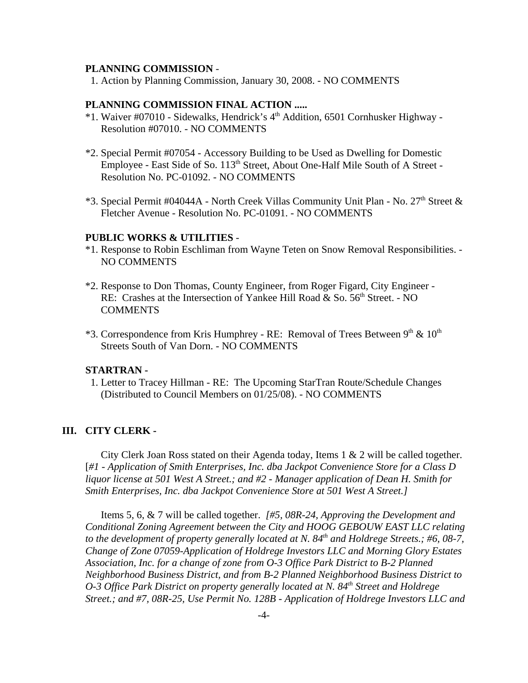#### **PLANNING COMMISSION** -

1. Action by Planning Commission, January 30, 2008. - NO COMMENTS

#### **PLANNING COMMISSION FINAL ACTION .....**

- \*1. Waiver #07010 Sidewalks, Hendrick's 4th Addition, 6501 Cornhusker Highway Resolution #07010. - NO COMMENTS
- \*2. Special Permit #07054 Accessory Building to be Used as Dwelling for Domestic Employee - East Side of So. 113<sup>th</sup> Street, About One-Half Mile South of A Street -Resolution No. PC-01092. - NO COMMENTS
- $*3$ . Special Permit #04044A North Creek Villas Community Unit Plan No. 27<sup>th</sup> Street & Fletcher Avenue - Resolution No. PC-01091. - NO COMMENTS

#### **PUBLIC WORKS & UTILITIES** -

- \*1. Response to Robin Eschliman from Wayne Teten on Snow Removal Responsibilities. NO COMMENTS
- \*2. Response to Don Thomas, County Engineer, from Roger Figard, City Engineer RE: Crashes at the Intersection of Yankee Hill Road & So.  $56<sup>th</sup>$  Street. - NO **COMMENTS**
- $*3$ . Correspondence from Kris Humphrey RE: Removal of Trees Between  $9<sup>th</sup>$  &  $10<sup>th</sup>$ Streets South of Van Dorn. - NO COMMENTS

#### **STARTRAN -**

1. Letter to Tracey Hillman - RE: The Upcoming StarTran Route/Schedule Changes (Distributed to Council Members on 01/25/08). - NO COMMENTS

#### **III. CITY CLERK -**

City Clerk Joan Ross stated on their Agenda today, Items 1 & 2 will be called together. [*#1 - Application of Smith Enterprises, Inc. dba Jackpot Convenience Store for a Class D liquor license at 501 West A Street.; and #2 - Manager application of Dean H. Smith for Smith Enterprises, Inc. dba Jackpot Convenience Store at 501 West A Street.]* 

Items 5, 6, & 7 will be called together. *[#5, 08R-24, Approving the Development and Conditional Zoning Agreement between the City and HOOG GEBOUW EAST LLC relating* to the development of property generally located at N. 84<sup>th</sup> and Holdrege Streets.; #6, 08-7, *Change of Zone 07059-Application of Holdrege Investors LLC and Morning Glory Estates Association, Inc. for a change of zone from O-3 Office Park District to B-2 Planned Neighborhood Business District, and from B-2 Planned Neighborhood Business District to O-3 Office Park District on property generally located at N. 84<sup>th</sup> Street and Holdrege Street.; and #7, 08R-25, Use Permit No. 128B - Application of Holdrege Investors LLC and*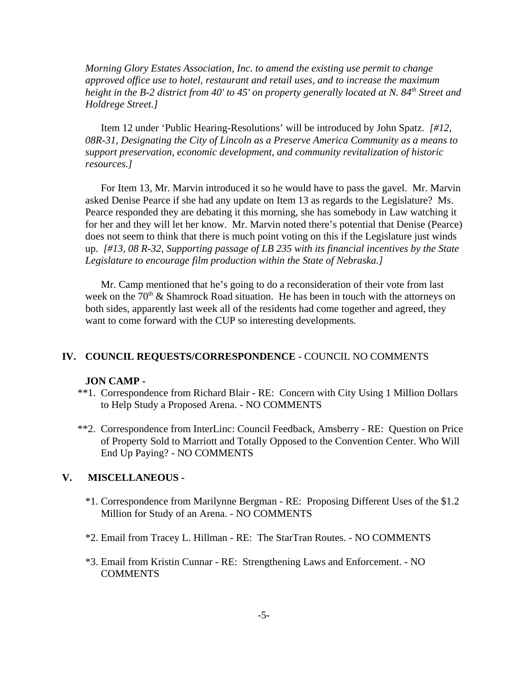*Morning Glory Estates Association, Inc. to amend the existing use permit to change approved office use to hotel, restaurant and retail uses, and to increase the maximum height in the B-2 district from 40' to 45' on property generally located at N. 84<sup>th</sup> Street and Holdrege Street.]* 

Item 12 under 'Public Hearing-Resolutions' will be introduced by John Spatz. *[#12, 08R-31, Designating the City of Lincoln as a Preserve America Community as a means to support preservation, economic development, and community revitalization of historic resources.]* 

For Item 13, Mr. Marvin introduced it so he would have to pass the gavel. Mr. Marvin asked Denise Pearce if she had any update on Item 13 as regards to the Legislature? Ms. Pearce responded they are debating it this morning, she has somebody in Law watching it for her and they will let her know. Mr. Marvin noted there's potential that Denise (Pearce) does not seem to think that there is much point voting on this if the Legislature just winds up. *[#13, 08 R-32, Supporting passage of LB 235 with its financial incentives by the State Legislature to encourage film production within the State of Nebraska.]* 

Mr. Camp mentioned that he's going to do a reconsideration of their vote from last week on the  $70<sup>th</sup>$  & Shamrock Road situation. He has been in touch with the attorneys on both sides, apparently last week all of the residents had come together and agreed, they want to come forward with the CUP so interesting developments.

#### **IV. COUNCIL REQUESTS/CORRESPONDENCE** - COUNCIL NO COMMENTS

#### **JON CAMP -**

- \*\*1. Correspondence from Richard Blair RE: Concern with City Using 1 Million Dollars to Help Study a Proposed Arena. - NO COMMENTS
- \*\*2. Correspondence from InterLinc: Council Feedback, Amsberry RE: Question on Price of Property Sold to Marriott and Totally Opposed to the Convention Center. Who Will End Up Paying? - NO COMMENTS

#### **V. MISCELLANEOUS -**

- \*1. Correspondence from Marilynne Bergman RE: Proposing Different Uses of the \$1.2 Million for Study of an Arena. - NO COMMENTS
- \*2. Email from Tracey L. Hillman RE: The StarTran Routes. NO COMMENTS
- \*3. Email from Kristin Cunnar RE: Strengthening Laws and Enforcement. NO **COMMENTS**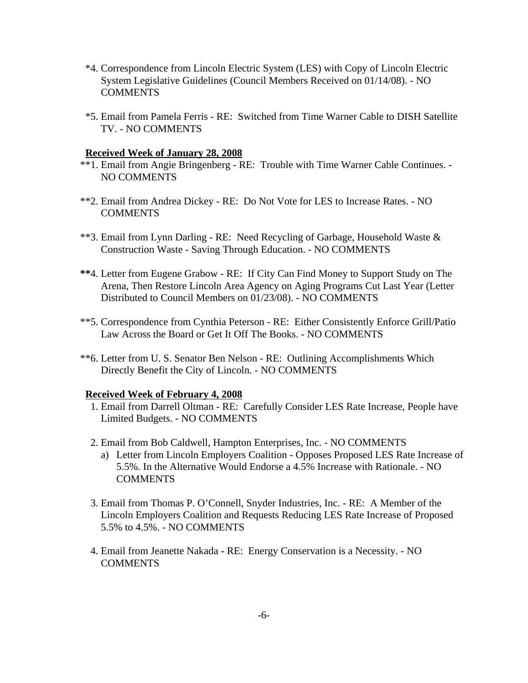- \*4. Correspondence from Lincoln Electric System (LES) with Copy of Lincoln Electric System Legislative Guidelines (Council Members Received on 01/14/08). - NO COMMENTS
- \*5. Email from Pamela Ferris RE: Switched from Time Warner Cable to DISH Satellite TV. - NO COMMENTS

#### **Received Week of January 28, 2008**

- \*\*1. Email from Angie Bringenberg RE: Trouble with Time Warner Cable Continues. NO COMMENTS
- \*\*2. Email from Andrea Dickey RE: Do Not Vote for LES to Increase Rates. NO **COMMENTS**
- \*\*3. Email from Lynn Darling RE: Need Recycling of Garbage, Household Waste & Construction Waste - Saving Through Education. - NO COMMENTS
- **\*\***4. Letter from Eugene Grabow RE: If City Can Find Money to Support Study on The Arena, Then Restore Lincoln Area Agency on Aging Programs Cut Last Year (Letter Distributed to Council Members on 01/23/08). - NO COMMENTS
- \*\*5. Correspondence from Cynthia Peterson RE: Either Consistently Enforce Grill/Patio Law Across the Board or Get It Off The Books. - NO COMMENTS
- \*\*6. Letter from U. S. Senator Ben Nelson RE: Outlining Accomplishments Which Directly Benefit the City of Lincoln. - NO COMMENTS

#### **Received Week of February 4, 2008**

- 1. Email from Darrell Oltman RE: Carefully Consider LES Rate Increase, People have Limited Budgets. - NO COMMENTS
- 2. Email from Bob Caldwell, Hampton Enterprises, Inc. NO COMMENTS
	- a) Letter from Lincoln Employers Coalition Opposes Proposed LES Rate Increase of 5.5%. In the Alternative Would Endorse a 4.5% Increase with Rationale. - NO **COMMENTS**
- 3. Email from Thomas P. O'Connell, Snyder Industries, Inc. RE: A Member of the Lincoln Employers Coalition and Requests Reducing LES Rate Increase of Proposed 5.5% to 4.5%. - NO COMMENTS
- 4. Email from Jeanette Nakada RE: Energy Conservation is a Necessity. NO **COMMENTS**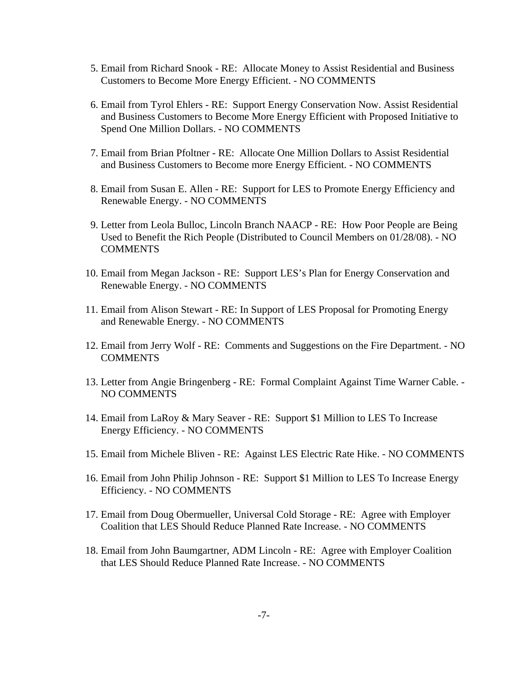- 5. Email from Richard Snook RE: Allocate Money to Assist Residential and Business Customers to Become More Energy Efficient. - NO COMMENTS
- 6. Email from Tyrol Ehlers RE: Support Energy Conservation Now. Assist Residential and Business Customers to Become More Energy Efficient with Proposed Initiative to Spend One Million Dollars. - NO COMMENTS
- 7. Email from Brian Pfoltner RE: Allocate One Million Dollars to Assist Residential and Business Customers to Become more Energy Efficient. - NO COMMENTS
- 8. Email from Susan E. Allen RE: Support for LES to Promote Energy Efficiency and Renewable Energy. - NO COMMENTS
- 9. Letter from Leola Bulloc, Lincoln Branch NAACP RE: How Poor People are Being Used to Benefit the Rich People (Distributed to Council Members on 01/28/08). - NO **COMMENTS**
- 10. Email from Megan Jackson RE: Support LES's Plan for Energy Conservation and Renewable Energy. - NO COMMENTS
- 11. Email from Alison Stewart RE: In Support of LES Proposal for Promoting Energy and Renewable Energy. - NO COMMENTS
- 12. Email from Jerry Wolf RE: Comments and Suggestions on the Fire Department. NO **COMMENTS**
- 13. Letter from Angie Bringenberg RE: Formal Complaint Against Time Warner Cable. NO COMMENTS
- 14. Email from LaRoy & Mary Seaver RE: Support \$1 Million to LES To Increase Energy Efficiency. - NO COMMENTS
- 15. Email from Michele Bliven RE: Against LES Electric Rate Hike. NO COMMENTS
- 16. Email from John Philip Johnson RE: Support \$1 Million to LES To Increase Energy Efficiency. - NO COMMENTS
- 17. Email from Doug Obermueller, Universal Cold Storage RE: Agree with Employer Coalition that LES Should Reduce Planned Rate Increase. - NO COMMENTS
- 18. Email from John Baumgartner, ADM Lincoln RE: Agree with Employer Coalition that LES Should Reduce Planned Rate Increase. - NO COMMENTS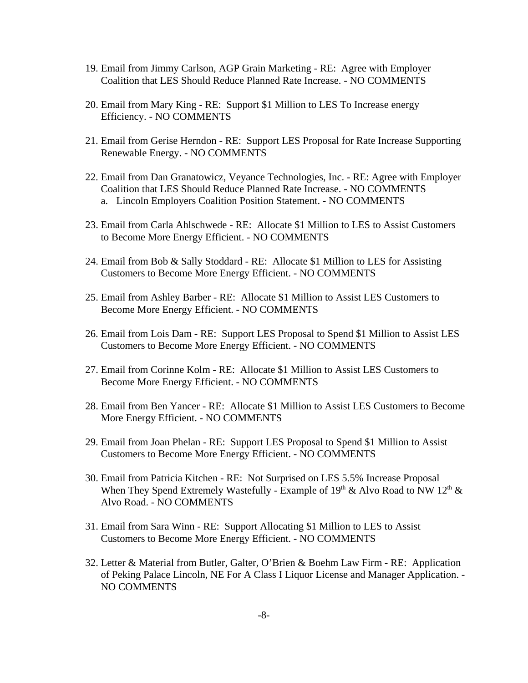- 19. Email from Jimmy Carlson, AGP Grain Marketing RE: Agree with Employer Coalition that LES Should Reduce Planned Rate Increase. - NO COMMENTS
- 20. Email from Mary King RE: Support \$1 Million to LES To Increase energy Efficiency. - NO COMMENTS
- 21. Email from Gerise Herndon RE: Support LES Proposal for Rate Increase Supporting Renewable Energy. - NO COMMENTS
- 22. Email from Dan Granatowicz, Veyance Technologies, Inc. RE: Agree with Employer Coalition that LES Should Reduce Planned Rate Increase. - NO COMMENTS a. Lincoln Employers Coalition Position Statement. - NO COMMENTS
- 23. Email from Carla Ahlschwede RE: Allocate \$1 Million to LES to Assist Customers to Become More Energy Efficient. - NO COMMENTS
- 24. Email from Bob & Sally Stoddard RE: Allocate \$1 Million to LES for Assisting Customers to Become More Energy Efficient. - NO COMMENTS
- 25. Email from Ashley Barber RE: Allocate \$1 Million to Assist LES Customers to Become More Energy Efficient. - NO COMMENTS
- 26. Email from Lois Dam RE: Support LES Proposal to Spend \$1 Million to Assist LES Customers to Become More Energy Efficient. - NO COMMENTS
- 27. Email from Corinne Kolm RE: Allocate \$1 Million to Assist LES Customers to Become More Energy Efficient. - NO COMMENTS
- 28. Email from Ben Yancer RE: Allocate \$1 Million to Assist LES Customers to Become More Energy Efficient. - NO COMMENTS
- 29. Email from Joan Phelan RE: Support LES Proposal to Spend \$1 Million to Assist Customers to Become More Energy Efficient. - NO COMMENTS
- 30. Email from Patricia Kitchen RE: Not Surprised on LES 5.5% Increase Proposal When They Spend Extremely Wastefully - Example of  $19<sup>th</sup>$  & Alvo Road to NW  $12<sup>th</sup>$  & Alvo Road. - NO COMMENTS
- 31. Email from Sara Winn RE: Support Allocating \$1 Million to LES to Assist Customers to Become More Energy Efficient. - NO COMMENTS
- 32. Letter & Material from Butler, Galter, O'Brien & Boehm Law Firm RE: Application of Peking Palace Lincoln, NE For A Class I Liquor License and Manager Application. - NO COMMENTS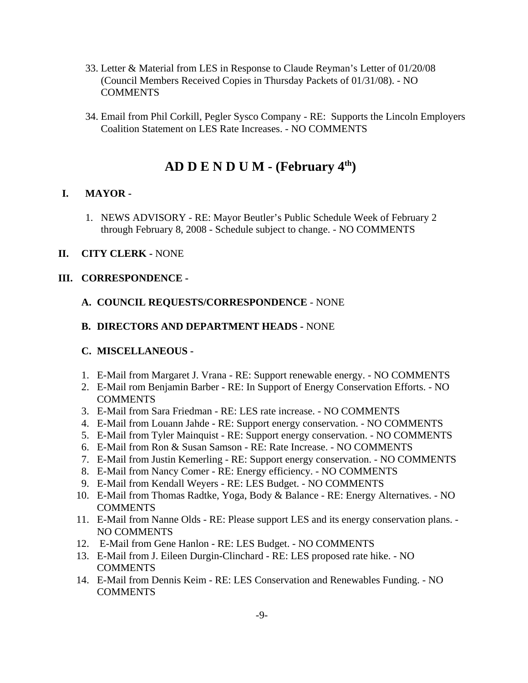- 33. Letter & Material from LES in Response to Claude Reyman's Letter of 01/20/08 (Council Members Received Copies in Thursday Packets of 01/31/08). - NO **COMMENTS**
- 34. Email from Phil Corkill, Pegler Sysco Company RE: Supports the Lincoln Employers Coalition Statement on LES Rate Increases. - NO COMMENTS

# **AD D E N D U M - (February 4th)**

# **I. MAYOR -**

1. NEWS ADVISORY - RE: Mayor Beutler's Public Schedule Week of February 2 through February 8, 2008 - Schedule subject to change. - NO COMMENTS

### **II. CITY CLERK -** NONE

# **III. CORRESPONDENCE -**

### **A. COUNCIL REQUESTS/CORRESPONDENCE** - NONE

### **B. DIRECTORS AND DEPARTMENT HEADS -** NONE

### **C. MISCELLANEOUS -**

- 1. E-Mail from Margaret J. Vrana RE: Support renewable energy. NO COMMENTS
- 2. E-Mail rom Benjamin Barber RE: In Support of Energy Conservation Efforts. NO **COMMENTS**
- 3. E-Mail from Sara Friedman RE: LES rate increase. NO COMMENTS
- 4. E-Mail from Louann Jahde RE: Support energy conservation. NO COMMENTS
- 5. E-Mail from Tyler Mainquist RE: Support energy conservation. NO COMMENTS
- 6. E-Mail from Ron & Susan Samson RE: Rate Increase. NO COMMENTS
- 7. E-Mail from Justin Kemerling RE: Support energy conservation. NO COMMENTS
- 8. E-Mail from Nancy Comer RE: Energy efficiency. NO COMMENTS
- 9. E-Mail from Kendall Weyers RE: LES Budget. NO COMMENTS
- 10. E-Mail from Thomas Radtke, Yoga, Body & Balance RE: Energy Alternatives. NO **COMMENTS**
- 11. E-Mail from Nanne Olds RE: Please support LES and its energy conservation plans. NO COMMENTS
- 12. E-Mail from Gene Hanlon RE: LES Budget. NO COMMENTS
- 13. E-Mail from J. Eileen Durgin-Clinchard RE: LES proposed rate hike. NO COMMENTS
- 14. E-Mail from Dennis Keim RE: LES Conservation and Renewables Funding. NO **COMMENTS**